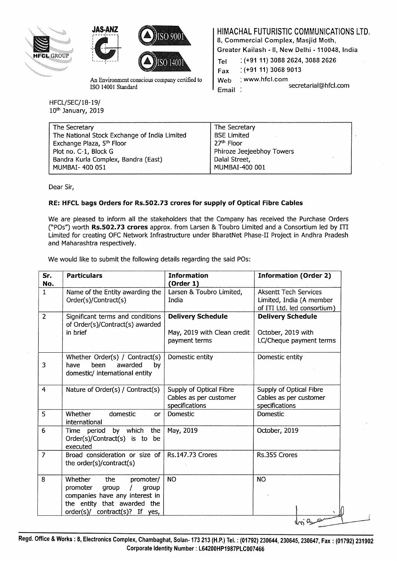





An Environment conscious company certified to ISO 14001 Standard

HFCL/SEC/18-19/ lOth January, 2019 HIMACHAL FUTURISTIC COMMUNICATIONS LTD.

8, Commercial Complex, Masjid Moth,

Greater Kailash -II, New Delhi -110048, India

Fax : (+91 11) 3068 9013

Web : www.hfcl.com

secretarial@hfcl.com Email

| The Secretary                                | The Secretary             |  |
|----------------------------------------------|---------------------------|--|
| The National Stock Exchange of India Limited | <b>BSE Limited</b>        |  |
| Exchange Plaza, 5 <sup>th</sup> Floor        | 27 <sup>th</sup> Floor    |  |
| Plot no. C-1, Block G                        | Phiroze Jeejeebhoy Towers |  |
| Bandra Kurla Complex, Bandra (East)          | Dalal Street,             |  |
| MUMBAI- 400 051                              | MUMBAI-400 001            |  |

Dear Sir,

## RE: HFCL bags Orders for Rs.S02.73 crores for supply of Optical Fibre Cables

We are pleased to inform all the stakeholders that the Company has received the Purchase Orders ("POs") worth Rs.502.73 crores approx. from Larsen & Toubro Limited and a Consortium led by ITI Limited for creating OFC Network Infrastructure under BharatNet Phase-11 Project in Andhra Pradesh and Maharashtra respectively.

We would like to submit the following details regarding the said POs:

| Sr.<br>No.     | <b>Particulars</b>                                                                                                                                                       | <b>Information</b><br>(Order 1)                                          | <b>Information (Order 2)</b>                                                            |  |
|----------------|--------------------------------------------------------------------------------------------------------------------------------------------------------------------------|--------------------------------------------------------------------------|-----------------------------------------------------------------------------------------|--|
| $\mathbf{1}$   | Name of the Entity awarding the<br>Order(s)/Contract(s)                                                                                                                  | Larsen & Toubro Limited,<br>India                                        | <b>Aksentt Tech Services</b><br>Limited, India (A member<br>of ITI Ltd. led consortium) |  |
| 2              | Significant terms and conditions<br>of Order(s)/Contract(s) awarded<br>in brief                                                                                          | <b>Delivery Schedule</b><br>May, 2019 with Clean credit<br>payment terms | <b>Delivery Schedule</b><br>October, 2019 with<br>LC/Cheque payment terms               |  |
| 3              | Whether Order(s) / Contract(s)<br>awarded<br>been<br>have<br>by<br>domestic/ international entity                                                                        | Domestic entity                                                          | Domestic entity                                                                         |  |
| $\overline{4}$ | Nature of Order(s) / Contract(s)                                                                                                                                         | Supply of Optical Fibre<br>Cables as per customer<br>specifications      | Supply of Optical Fibre<br>Cables as per customer<br>specifications                     |  |
| 5              | domestic<br>Whether<br>or<br>international                                                                                                                               | Domestic                                                                 | Domestic.                                                                               |  |
| 6              | by which<br>the<br>Time period<br>Order(s)/Contract(s) is to be<br>executed                                                                                              | May, 2019                                                                | October, 2019                                                                           |  |
| 7              | Broad consideration or size of<br>the order(s)/contract(s)                                                                                                               | <b>Rs.147.73 Crores</b>                                                  | Rs.355 Crores                                                                           |  |
| 8              | Whether<br>the<br>promoter/<br>promoter<br>group<br>$\prime$<br>group<br>companies have any interest in<br>the entity that awarded the<br>order(s)/ contract(s)? If yes, | <b>NO</b>                                                                | <b>NO</b>                                                                               |  |